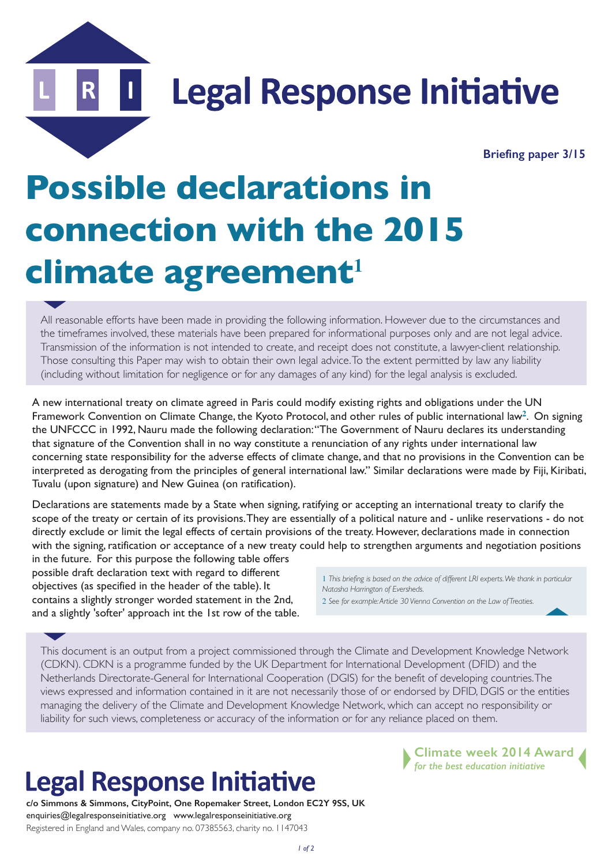**Legal Response Initiative** 

 **Briefing paper 3/15**

## **Possible declarations in connection with the 2015 climate agreement<sup>1</sup>**

All reasonable efforts have been made in providing the following information. However due to the circumstances and the timeframes involved, these materials have been prepared for informational purposes only and are not legal advice. Transmission of the information is not intended to create, and receipt does not constitute, a lawyer-client relationship. Those consulting this Paper may wish to obtain their own legal advice. To the extent permitted by law any liability (including without limitation for negligence or for any damages of any kind) for the legal analysis is excluded.

A new international treaty on climate agreed in Paris could modify existing rights and obligations under the UN Framework Convention on Climate Change, the Kyoto Protocol, and other rules of public international law**2**. On signing the UNFCCC in 1992, Nauru made the following declaration: "The Government of Nauru declares its understanding that signature of the Convention shall in no way constitute a renunciation of any rights under international law concerning state responsibility for the adverse effects of climate change, and that no provisions in the Convention can be interpreted as derogating from the principles of general international law." Similar declarations were made by Fiji, Kiribati, Tuvalu (upon signature) and New Guinea (on ratification).

Declarations are statements made by a State when signing, ratifying or accepting an international treaty to clarify the scope of the treaty or certain of its provisions. They are essentially of a political nature and - unlike reservations - do not directly exclude or limit the legal effects of certain provisions of the treaty. However, declarations made in connection with the signing, ratification or acceptance of a new treaty could help to strengthen arguments and negotiation positions

in the future. For this purpose the following table offers possible draft declaration text with regard to different objectives (as specified in the header of the table). It contains a slightly stronger worded statement in the 2nd, and a slightly 'softer' approach int the 1st row of the table.

1 *This briefing is based on the advice of different LRI experts. We thank in particular Natasha Harrington of Eversheds.*

2 *See for example: Article 30 Vienna Convention on the Law of Treaties.*

This document is an output from a project commissioned through the Climate and Development Knowledge Network (CDKN). CDKN is a programme funded by the UK Department for International Development (DFID) and the Netherlands Directorate-General for International Cooperation (DGIS) for the benefit of developing countries. The views expressed and information contained in it are not necessarily those of or endorsed by DFID, DGIS or the entities managing the delivery of the Climate and Development Knowledge Network, which can accept no responsibility or liability for such views, completeness or accuracy of the information or for any reliance placed on them.

## **Legal Response Initiative**

**c/o Simmons & Simmons, CityPoint, One Ropemaker Street, London EC2Y 9SS, UK** enquiries@legalresponseinitiative.org www.legalresponseinitiative.org Registered in England and Wales, company no. 07385563, charity no. 1147043

**Climate week 2014 Award** *for the best education initiative*